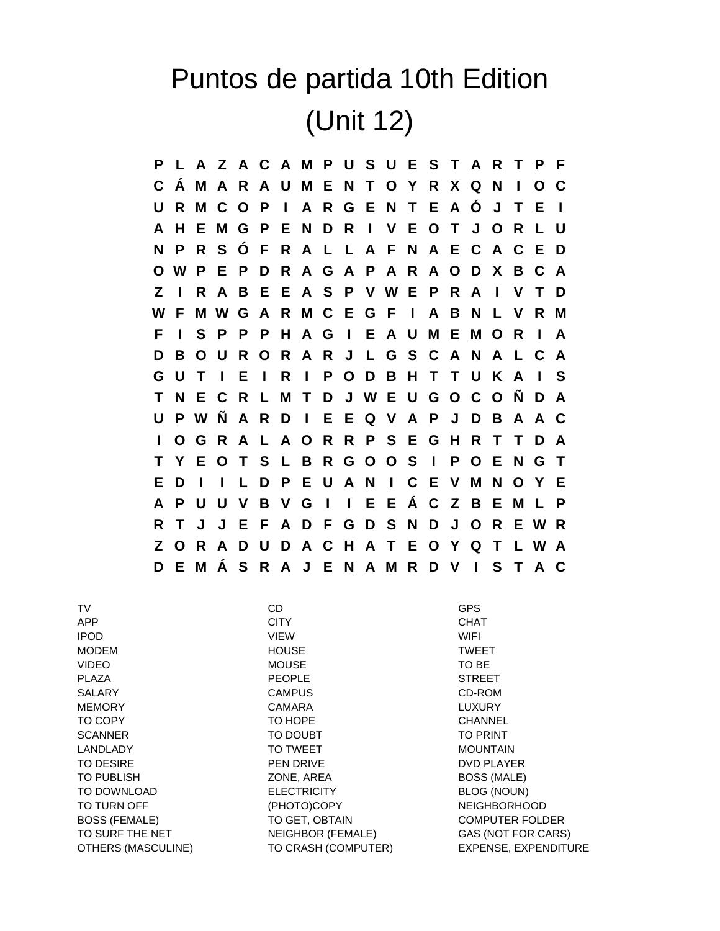## Puntos de partida 10th Edition (Unit 12)

**P L A Z A C A M P U S U E S T A R T P F C Á M A R A U M E N T O Y R X Q N I O C U R M C O P I A R G E N T E A Ó J T E I A H E M G P E N D R I V E O T J O R L U N P R S Ó F R A L L A F N A E C A C E D O W P E P D R A G A P A R A O D X B C A Z I R A B E E A S P V W E P R A I V T D W F M W G A R M C E G F I A B N L V R M F I S P P P H A G I E A U M E M O R I A D B O U R O R A R J L G S C A N A L C A G U T I E I R I P O D B H T T U K A I S T N E C R L M T D J W E U G O C O Ñ D A U P W Ñ A R D I E E Q V A P J D B A A C I O G R A L A O R R P S E G H R T T D A T Y E O T S L B R G O O S I P O E N G T E D I I L D P E U A N I C E V M N O Y E A P U U V B V G I I E E Á C Z B E M L P R T J J E F A D F G D S N D J O R E W R Z O R A D U D A C H A T E O Y Q T L W A D E M Á S R A J E N A M R D V I S T A C**

TV CD GPS APP CITY CHAT IPOD VIEW WIFI MODEM TWEET AND HOUSE TWEET VIDEO MOUSE TO BE PLAZA PEOPLE STREET SALARY CAMPUS CD-ROM MEMORY CAMARA LUXURY TO COPY TO HOPE CHANNEL SCANNER TO DOUBT TO TO PRINT LANDLADY **TO TWEET** MOUNTAIN TO DESIRE TO PEN DRIVE TO DESIRE TO DESIRE TO DESIRE THE PEN DRIVE TO PUBLISH **EXECUTE:** 2008, AREA BOSS (MALE) TO DOWNLOAD ELECTRICITY BLOG (NOUN) TO TURN OFF **A CONTACT CONTROLLER TO THE CONTROL** (PHOTO)COPY **NEIGHBORHOOD** BOSS (FEMALE) TO GET, OBTAIN COMPUTER FOLDER TO SURF THE NET NEIGHBOR (FEMALE) GAS (NOT FOR CARS) OTHERS (MASCULINE) TO CRASH (COMPUTER) EXPENSE, EXPENDITURE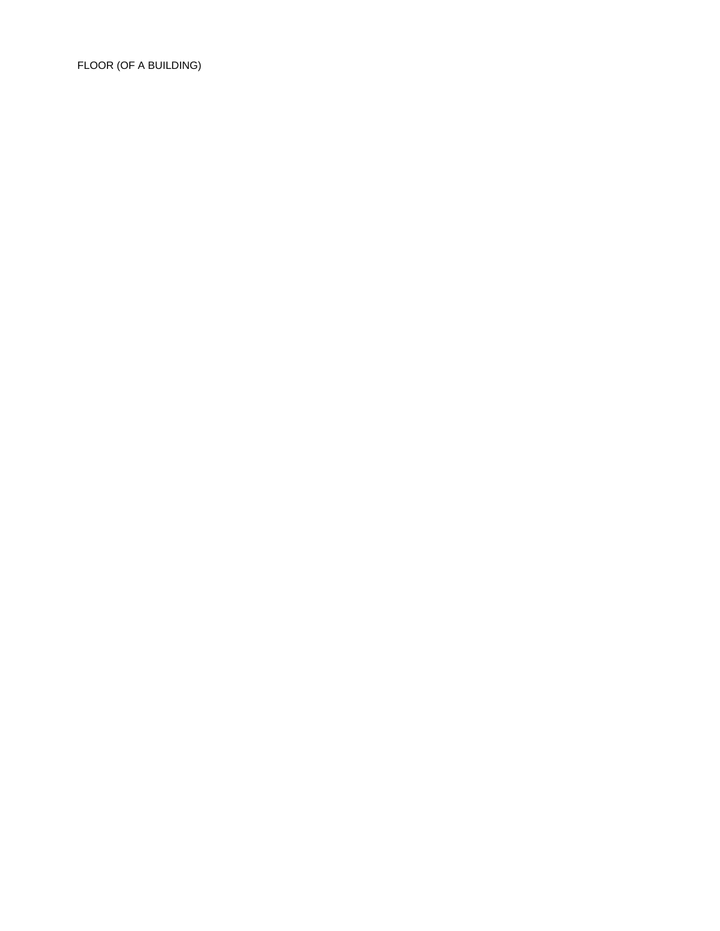FLOOR (OF A BUILDING)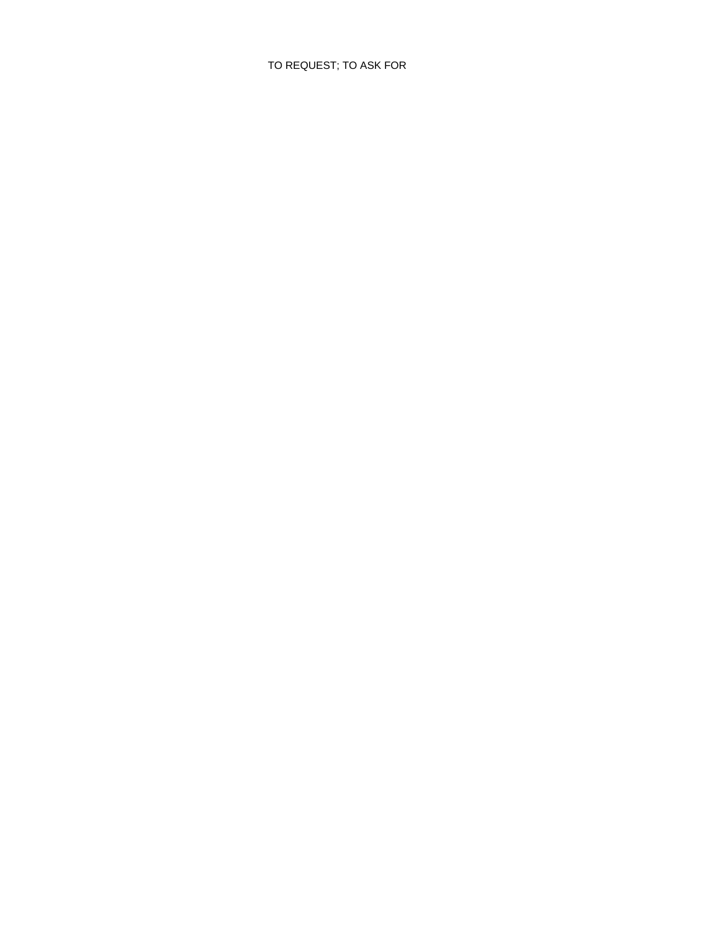## TO REQUEST; TO ASK FOR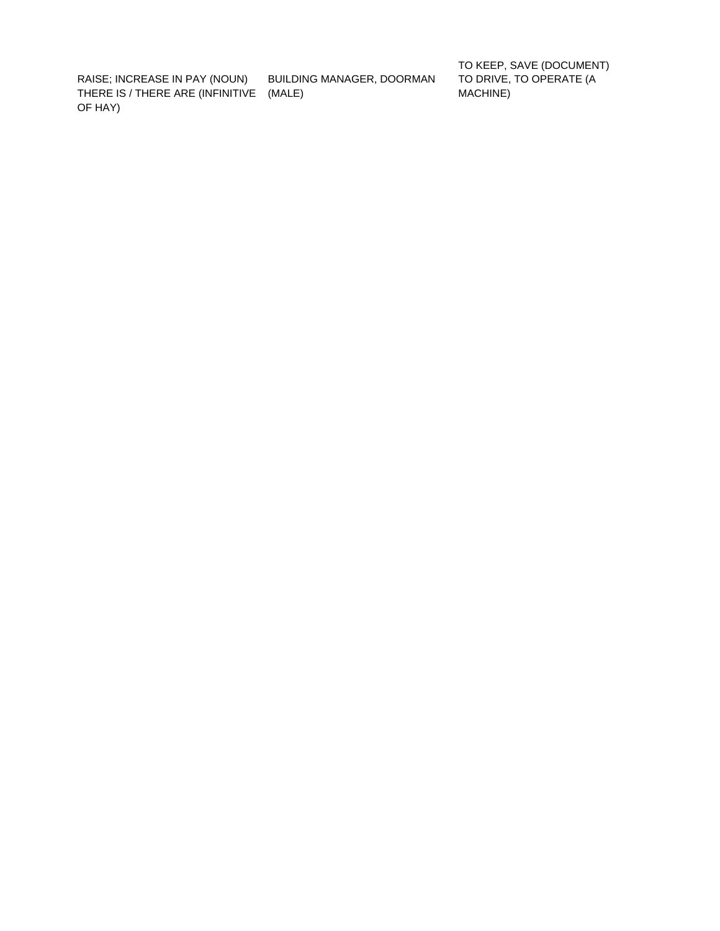(MALE) THERE IS / THERE ARE (INFINITIVE MACHINE) OF HAY)

RAISE; INCREASE IN PAY (NOUN) BUILDING MANAGER, DOORMAN

TO KEEP, SAVE (DOCUMENT) TO DRIVE, TO OPERATE (A<br>MACHINE)